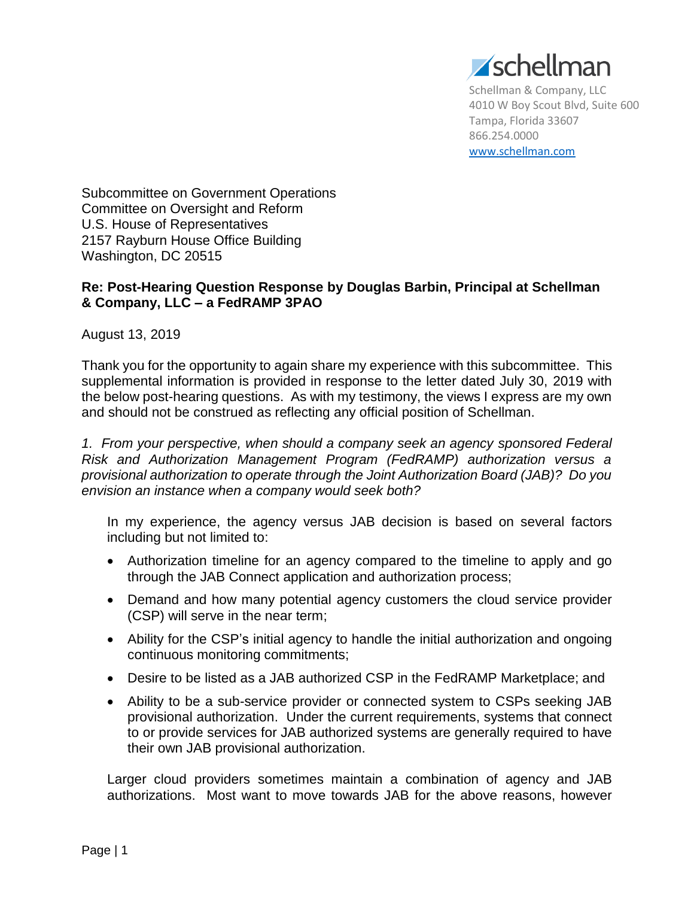

Schellman & Company, LLC 4010 W Boy Scout Blvd, Suite 600 Tampa, Florida 33607 866.254.0000 [www.schellman.com](http://www.schellman.com/)

Subcommittee on Government Operations Committee on Oversight and Reform U.S. House of Representatives 2157 Rayburn House Office Building Washington, DC 20515

## **Re: Post-Hearing Question Response by Douglas Barbin, Principal at Schellman & Company, LLC – a FedRAMP 3PAO**

August 13, 2019

Thank you for the opportunity to again share my experience with this subcommittee. This supplemental information is provided in response to the letter dated July 30, 2019 with the below post-hearing questions. As with my testimony, the views I express are my own and should not be construed as reflecting any official position of Schellman.

*1. From your perspective, when should a company seek an agency sponsored Federal Risk and Authorization Management Program (FedRAMP) authorization versus a provisional authorization to operate through the Joint Authorization Board (JAB)? Do you envision an instance when a company would seek both?*

In my experience, the agency versus JAB decision is based on several factors including but not limited to:

- Authorization timeline for an agency compared to the timeline to apply and go through the JAB Connect application and authorization process;
- Demand and how many potential agency customers the cloud service provider (CSP) will serve in the near term;
- Ability for the CSP's initial agency to handle the initial authorization and ongoing continuous monitoring commitments;
- Desire to be listed as a JAB authorized CSP in the FedRAMP Marketplace; and
- Ability to be a sub-service provider or connected system to CSPs seeking JAB provisional authorization. Under the current requirements, systems that connect to or provide services for JAB authorized systems are generally required to have their own JAB provisional authorization.

Larger cloud providers sometimes maintain a combination of agency and JAB authorizations. Most want to move towards JAB for the above reasons, however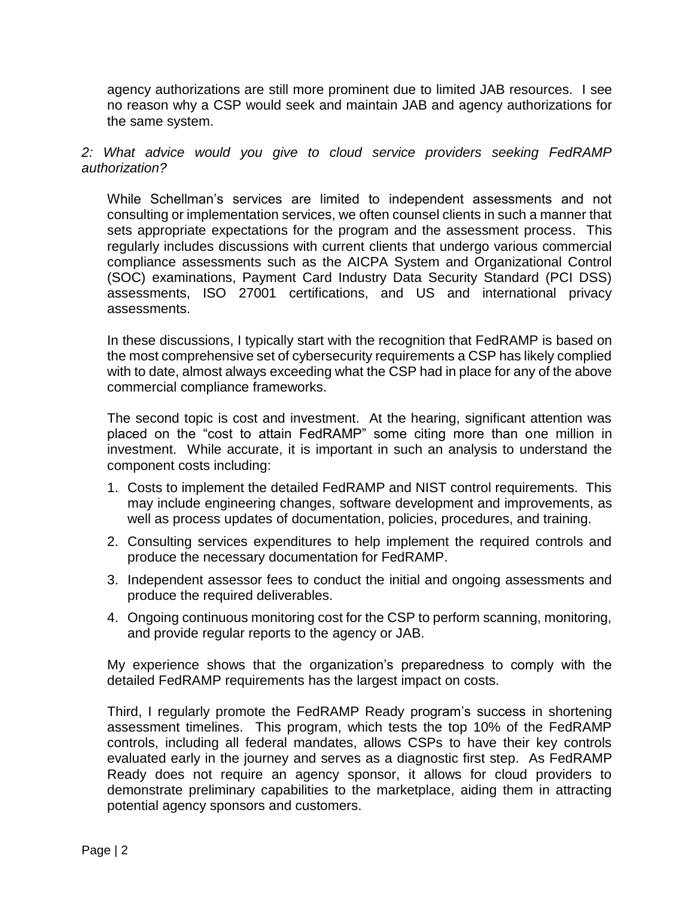agency authorizations are still more prominent due to limited JAB resources. I see no reason why a CSP would seek and maintain JAB and agency authorizations for the same system.

## *2: What advice would you give to cloud service providers seeking FedRAMP authorization?*

While Schellman's services are limited to independent assessments and not consulting or implementation services, we often counsel clients in such a manner that sets appropriate expectations for the program and the assessment process. This regularly includes discussions with current clients that undergo various commercial compliance assessments such as the AICPA System and Organizational Control (SOC) examinations, Payment Card Industry Data Security Standard (PCI DSS) assessments, ISO 27001 certifications, and US and international privacy assessments.

In these discussions, I typically start with the recognition that FedRAMP is based on the most comprehensive set of cybersecurity requirements a CSP has likely complied with to date, almost always exceeding what the CSP had in place for any of the above commercial compliance frameworks.

The second topic is cost and investment. At the hearing, significant attention was placed on the "cost to attain FedRAMP" some citing more than one million in investment. While accurate, it is important in such an analysis to understand the component costs including:

- 1. Costs to implement the detailed FedRAMP and NIST control requirements. This may include engineering changes, software development and improvements, as well as process updates of documentation, policies, procedures, and training.
- 2. Consulting services expenditures to help implement the required controls and produce the necessary documentation for FedRAMP.
- 3. Independent assessor fees to conduct the initial and ongoing assessments and produce the required deliverables.
- 4. Ongoing continuous monitoring cost for the CSP to perform scanning, monitoring, and provide regular reports to the agency or JAB.

My experience shows that the organization's preparedness to comply with the detailed FedRAMP requirements has the largest impact on costs.

Third, I regularly promote the FedRAMP Ready program's success in shortening assessment timelines. This program, which tests the top 10% of the FedRAMP controls, including all federal mandates, allows CSPs to have their key controls evaluated early in the journey and serves as a diagnostic first step. As FedRAMP Ready does not require an agency sponsor, it allows for cloud providers to demonstrate preliminary capabilities to the marketplace, aiding them in attracting potential agency sponsors and customers.